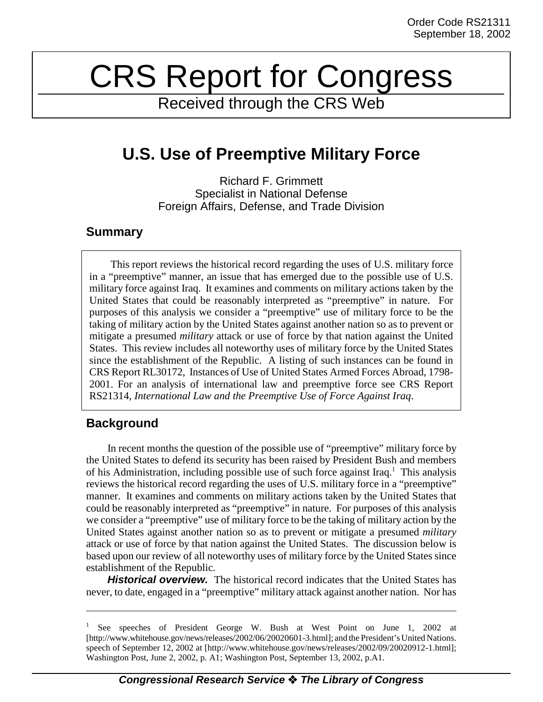## CRS Report for Congress

Received through the CRS Web

## **U.S. Use of Preemptive Military Force**

Richard F. Grimmett Specialist in National Defense Foreign Affairs, Defense, and Trade Division

## **Summary**

This report reviews the historical record regarding the uses of U.S. military force in a "preemptive" manner, an issue that has emerged due to the possible use of U.S. military force against Iraq. It examines and comments on military actions taken by the United States that could be reasonably interpreted as "preemptive" in nature. For purposes of this analysis we consider a "preemptive" use of military force to be the taking of military action by the United States against another nation so as to prevent or mitigate a presumed *military* attack or use of force by that nation against the United States. This review includes all noteworthy uses of military force by the United States since the establishment of the Republic. A listing of such instances can be found in CRS Report RL30172, Instances of Use of United States Armed Forces Abroad, 1798- 2001. For an analysis of international law and preemptive force see CRS Report RS21314, *International Law and the Preemptive Use of Force Against Iraq*.

## **Background**

In recent months the question of the possible use of "preemptive" military force by the United States to defend its security has been raised by President Bush and members of his Administration, including possible use of such force against Iraq.<sup>1</sup> This analysis reviews the historical record regarding the uses of U.S. military force in a "preemptive" manner. It examines and comments on military actions taken by the United States that could be reasonably interpreted as "preemptive" in nature. For purposes of this analysis we consider a "preemptive" use of military force to be the taking of military action by the United States against another nation so as to prevent or mitigate a presumed *military* attack or use of force by that nation against the United States. The discussion below is based upon our review of all noteworthy uses of military force by the United States since establishment of the Republic.

**Historical overview.** The historical record indicates that the United States has never, to date, engaged in a "preemptive" military attack against another nation. Nor has

<sup>1</sup> See speeches of President George W. Bush at West Point on June 1, 2002 at [http://www.whitehouse.gov/news/releases/2002/06/20020601-3.html]; and the President's United Nations. speech of September 12, 2002 at [http://www.whitehouse.gov/news/releases/2002/09/20020912-1.html]; Washington Post, June 2, 2002, p. A1; Washington Post, September 13, 2002, p.A1.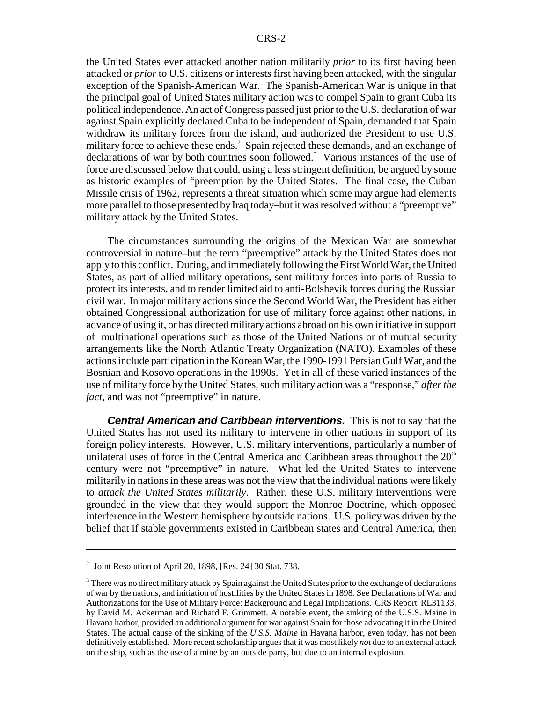the United States ever attacked another nation militarily *prior* to its first having been attacked or *prior* to U.S. citizens or interests first having been attacked, with the singular exception of the Spanish-American War. The Spanish-American War is unique in that the principal goal of United States military action was to compel Spain to grant Cuba its political independence. An act of Congress passed just prior to the U.S. declaration of war against Spain explicitly declared Cuba to be independent of Spain, demanded that Spain withdraw its military forces from the island, and authorized the President to use U.S. military force to achieve these ends.<sup>2</sup> Spain rejected these demands, and an exchange of declarations of war by both countries soon followed.<sup>3</sup> Various instances of the use of force are discussed below that could, using a less stringent definition, be argued by some as historic examples of "preemption by the United States. The final case, the Cuban Missile crisis of 1962, represents a threat situation which some may argue had elements more parallel to those presented by Iraq today–but it was resolved without a "preemptive" military attack by the United States.

The circumstances surrounding the origins of the Mexican War are somewhat controversial in nature–but the term "preemptive" attack by the United States does not apply to this conflict. During, and immediately following the First World War, the United States, as part of allied military operations, sent military forces into parts of Russia to protect its interests, and to render limited aid to anti-Bolshevik forces during the Russian civil war. In major military actions since the Second World War, the President has either obtained Congressional authorization for use of military force against other nations, in advance of using it, or has directed military actions abroad on his own initiative in support of multinational operations such as those of the United Nations or of mutual security arrangements like the North Atlantic Treaty Organization (NATO). Examples of these actions include participation in the Korean War, the 1990-1991 Persian Gulf War, and the Bosnian and Kosovo operations in the 1990s. Yet in all of these varied instances of the use of military force by the United States, such military action was a "response," *after the fact*, and was not "preemptive" in nature.

**Central American and Caribbean interventions.** This is not to say that the United States has not used its military to intervene in other nations in support of its foreign policy interests. However, U.S. military interventions, particularly a number of unilateral uses of force in the Central America and Caribbean areas throughout the  $20<sup>th</sup>$ century were not "preemptive" in nature. What led the United States to intervene militarily in nations in these areas was not the view that the individual nations were likely to *attack the United States militarily*. Rather, these U.S. military interventions were grounded in the view that they would support the Monroe Doctrine, which opposed interference in the Western hemisphere by outside nations. U.S. policy was driven by the belief that if stable governments existed in Caribbean states and Central America, then

 $2$  Joint Resolution of April 20, 1898, [Res. 24] 30 Stat. 738.

<sup>&</sup>lt;sup>3</sup> There was no direct military attack by Spain against the United States prior to the exchange of declarations of war by the nations, and initiation of hostilities by the United States in 1898. See Declarations of War and Authorizations for the Use of Military Force: Background and Legal Implications. CRS Report RL31133, by David M. Ackerman and Richard F. Grimmett. A notable event, the sinking of the U.S.S. Maine in Havana harbor, provided an additional argument for war against Spain for those advocating it in the United States. The actual cause of the sinking of the *U.S.S. Maine* in Havana harbor, even today, has not been definitively established. More recent scholarship argues that it was most likely *not* due to an external attack on the ship, such as the use of a mine by an outside party, but due to an internal explosion.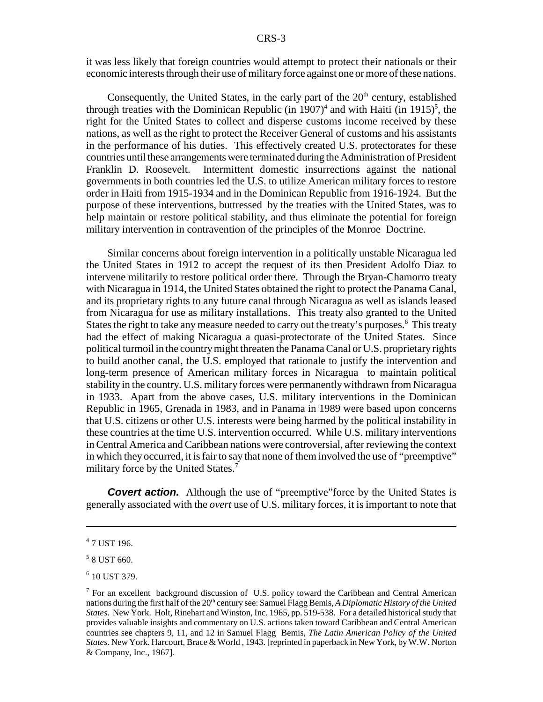it was less likely that foreign countries would attempt to protect their nationals or their economic interests through their use of military force against one or more of these nations.

Consequently, the United States, in the early part of the  $20<sup>th</sup>$  century, established through treaties with the Dominican Republic (in  $1907$ )<sup>4</sup> and with Haiti (in  $1915$ )<sup>5</sup>, the right for the United States to collect and disperse customs income received by these nations, as well as the right to protect the Receiver General of customs and his assistants in the performance of his duties. This effectively created U.S. protectorates for these countries until these arrangements were terminated during the Administration of President Franklin D. Roosevelt. Intermittent domestic insurrections against the national governments in both countries led the U.S. to utilize American military forces to restore order in Haiti from 1915-1934 and in the Dominican Republic from 1916-1924. But the purpose of these interventions, buttressed by the treaties with the United States, was to help maintain or restore political stability, and thus eliminate the potential for foreign military intervention in contravention of the principles of the Monroe Doctrine.

Similar concerns about foreign intervention in a politically unstable Nicaragua led the United States in 1912 to accept the request of its then President Adolfo Diaz to intervene militarily to restore political order there. Through the Bryan-Chamorro treaty with Nicaragua in 1914, the United States obtained the right to protect the Panama Canal, and its proprietary rights to any future canal through Nicaragua as well as islands leased from Nicaragua for use as military installations. This treaty also granted to the United States the right to take any measure needed to carry out the treaty's purposes.<sup>6</sup> This treaty had the effect of making Nicaragua a quasi-protectorate of the United States. Since political turmoil in the country might threaten the Panama Canal or U.S. proprietary rights to build another canal, the U.S. employed that rationale to justify the intervention and long-term presence of American military forces in Nicaragua to maintain political stability in the country. U.S. military forces were permanently withdrawn from Nicaragua in 1933. Apart from the above cases, U.S. military interventions in the Dominican Republic in 1965, Grenada in 1983, and in Panama in 1989 were based upon concerns that U.S. citizens or other U.S. interests were being harmed by the political instability in these countries at the time U.S. intervention occurred. While U.S. military interventions in Central America and Caribbean nations were controversial, after reviewing the context in which they occurred, it is fair to say that none of them involved the use of "preemptive" military force by the United States.<sup>7</sup>

**Covert action.** Although the use of "preemptive"force by the United States is generally associated with the *overt* use of U.S. military forces, it is important to note that

<sup>4</sup> 7 UST 196.

<sup>5</sup> 8 UST 660.

<sup>6</sup> 10 UST 379.

 $<sup>7</sup>$  For an excellent background discussion of U.S. policy toward the Caribbean and Central American</sup> nations during the first half of the 20<sup>th</sup> century see: Samuel Flagg Bemis, *A Diplomatic History of the United States*. New York. Holt, Rinehart and Winston, Inc. 1965, pp. 519-538. For a detailed historical study that provides valuable insights and commentary on U.S. actions taken toward Caribbean and Central American countries see chapters 9, 11, and 12 in Samuel Flagg Bemis, *The Latin American Policy of the United States*. New York. Harcourt, Brace & World , 1943. [reprinted in paperback in New York, by W.W. Norton & Company, Inc., 1967].